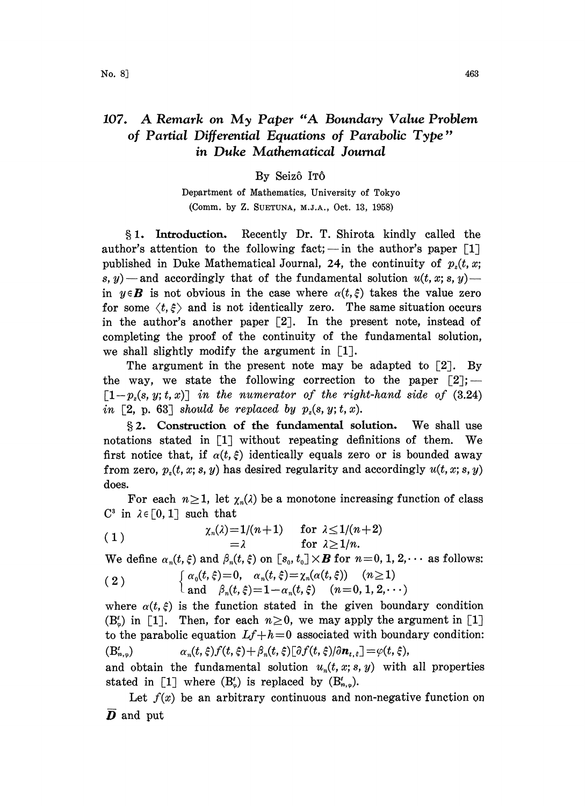## 107. A Remark on My Paper "A Boundary Value Problem of Partial Differential Equations of Parabolic Type" in Duke Mathematical Journal

## By Seizô ITÔ

Department of Mathematics, University of Tokyo (Comm. by Z. SUETUNA, M.J.A., Oct. 13, 1958)

1. Introduction. Recently Dr. T. Shirota kindly called the author's attention to the following fact; — in the author's paper  $\lceil 1 \rceil$ published in Duke Mathematical Journal, 24, the continuity of  $p<sub>s</sub>(t, x;$ s, y) — and accordingly that of the fundamental solution  $u(t, x; s, y)$  in  $y \in B$  is not obvious in the case where  $\alpha(t,\xi)$  takes the value zero for some  $\langle t, \xi \rangle$  and is not identically zero. The same situation occurs in the author's another paper  $[2]$ . In the present note, instead of completing the proof of the continuity of the fundamental solution, we shall slightly modify the argument in  $\lceil 1 \rceil$ .

The argument in the present note may be adapted to  $[2]$ . By the way, we state the following correction to the paper  $[2]$ ;  $\lceil 1-p_x(s, y; t, x) \rceil$  in the numerator of the right-hand side of (3.24) in [2, p. 63] should be replaced by  $p_z(s, y; t, x)$ .

§2. Construction of the fundamental solution. We shall use notations stated in [1] without repeating definitions of them. We first notice that, if  $\alpha(t, \xi)$  identically equals zero or is bounded away from zero,  $p_{s}(t, x; s, y)$  has desired regularity and accordingly  $u(t, x; s, y)$ does.

For each  $n \ge 1$ , let  $\chi_n(\lambda)$  be a monotone increasing function of class<br>  $\chi \in [0, 1]$  such that<br>  $\chi_n(\lambda) = 1/(n+1)$  for  $\lambda \le 1/(n+2)$  $C^3$  in  $\lambda \in [0, 1]$  such that

(1) 
$$
\begin{array}{l}\n\chi_n(\lambda)=1/(n+1) & \text{for } \lambda \leq 1/(n+2) \\
\chi_n(\lambda)=1 & \text{for } \lambda \geq 1/n.\n\end{array}
$$

We define  $\alpha_n(t, \xi)$  and  $\beta_n(t, \xi)$  on  $[s_0, t_0] \times \mathbf{B}$  for  $n=0, 1, 2, \cdots$  as follows:

(2) 
$$
\begin{cases} \alpha_0(t,\xi)=0, & \alpha_n(t,\xi)=\chi_n(\alpha(t,\xi)) \quad (n\geq 1) \\ \text{and} & \beta_n(t,\xi)=1-\alpha_n(t,\xi) \quad (n=0,1,2,\cdots) \end{cases}
$$

where  $\alpha(t,\xi)$  is the function stated in the given boundary condition  $(B_{\varphi}^{\prime})$  in [1]. Then, for each  $n \geq 0$ , we may apply the argument in [1] to the parabolic equation  $Lf+h=0$  associated with boundary condition:  $(B_{n,q}^t)$  $\alpha_n(t,\xi) f(t,\xi) + \beta_n(t,\xi) [\partial f(t,\xi)/\partial \boldsymbol{n}_{t,\xi}] = \varphi(t,\xi),$ 

and obtain the fundamental solution  $u_n(t, x; s, y)$  with all properties stated in [1] where  $(B_{\omega}^{t})$  is replaced by  $(B_{n,\varphi}^{t})$ .

Let  $f(x)$  be an arbitrary continuous and non-negative function on  $\overline{D}$  and put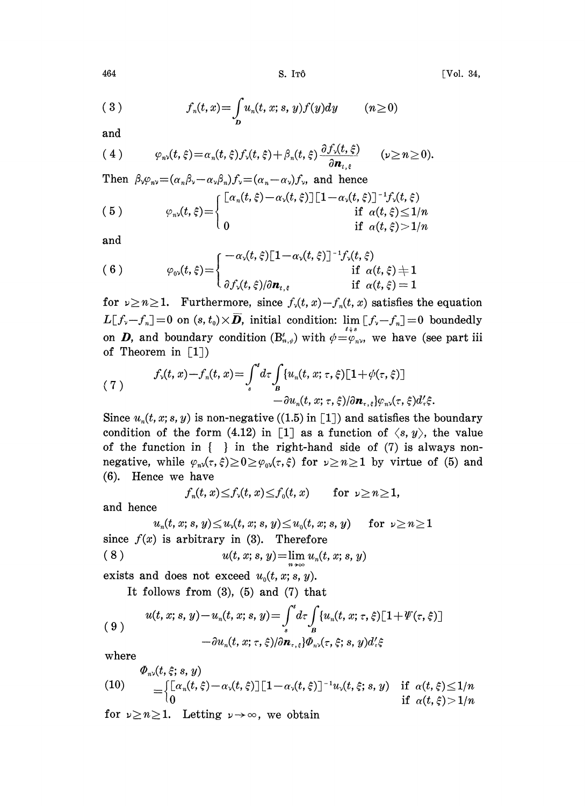(3) 
$$
f_n(t,x) = \int_D u_n(t,x;s,y)f(y)dy \qquad (n \ge 0)
$$

and

(4) 
$$
\varphi_{n\nu}(t,\xi) = \alpha_n(t,\xi) f_{\nu}(t,\xi) + \beta_n(t,\xi) \frac{\partial f_{\nu}(t,\xi)}{\partial \boldsymbol{n}_{t,\xi}} \qquad (\nu \geq n \geq 0).
$$

Then  $\beta_{\nu}\varphi_{n\nu}=(\alpha_{n}\beta_{\nu}-\alpha_{\nu}\beta_{n})f_{\nu}=(\alpha_{n}-\alpha_{\nu})f_{\nu}$ , and hence (5)  $\left[\alpha_n(t, \xi) - \alpha_{\nu}(t, \xi)\right] \left[1 - \alpha_{\nu}(t, \xi)\right]^{-1} f_{\nu}(t, \xi)$  $\varphi_{n\nu}(t, \xi) = \begin{cases} \n\qquad & \text{if} \ \alpha(t, \xi) \n\end{cases}$  $\overline{t}$  $\text{if } \alpha(t,\xi) \leq 1/n$ <br>if  $\alpha(t,\xi) > 1/n$ 

$$
\quad\text{and}\quad
$$

(6) 
$$
\varphi_{0\nu}(t,\xi) = \begin{cases}\n-\alpha_{\nu}(t,\xi)[1-\alpha_{\nu}(t,\xi)]^{-1}f_{\nu}(t,\xi) & \text{if } \alpha(t,\xi) \neq 1 \\
\frac{\partial f_{\nu}(t,\xi)}{\partial n_{t,\xi}} & \text{if } \alpha(t,\xi) = 1\n\end{cases}
$$

for  $\nu \geq n \geq 1$ . Furthermore, since  $f_{\nu}(t, x) - f_{\nu}(t, x)$  satisfies the equation  $L[f_v-f_n]=0$  on  $(s, t_0)\times\overline{\mathbf{D}}$ , initial condition:  $\lim_{m\to\infty} [f_v-f_n]=0$  boundedly on **D**, and boundary condition  $(B_{n,\phi}^t)$  with  $\phi = \varphi_{n\nu}$ , we have (see part iii) of Theorem in  $\lceil 1 \rceil$ )

(7) 
$$
f_{\nu}(t,x)-f_{n}(t,x)=\int_{s}^{t}d\tau\int_{B}\left\{u_{n}(t,x;\tau,\xi)\left[1+\psi(\tau,\xi)\right]\right\} -\partial u_{n}(t,x;\tau,\xi)/\partial \boldsymbol{n}_{\tau,\xi}\right\}\varphi_{n\nu}(\tau,\xi)d\zeta.
$$

Since  $u_n(t, x; s, y)$  is non-negative ((1.5) in [1]) and satisfies the boundary condition of the form (4.12) in [1] as a function of  $\langle s, y \rangle$ , the value of the function in  $\{\}$  in the right-hand side of (7) is always nonnegative, while  $\varphi_{n\vee}(\tau,\xi)\geq 0\geq \varphi_{0\vee}(\tau,\xi)$  for  $\nu\geq n\geq 1$  by virtue of (5) and (6). Hence we have

$$
f_n(t,x)\leq f_\nu(t,x)\leq f_0(t,x) \qquad \text{for }\nu\geq n\geq 1,
$$

and hence

 $u_n(t, x; s, y) \leq u_\nu(t, x; s, y) \leq u_0(t, x; s, y) \quad \text{ for } \nu \geq n \geq 1$ since  $f(x)$  is arbitrary in (3). Therefore (8)  $u(t, x; s, y) = \lim_{n \to \infty} u_n(t, x; s, y)$ 

exists and does not exceed  $u_0(t, x; s, y)$ .

It follows from  $(3)$ ,  $(5)$  and  $(7)$  that

$$
(9) \quad u(t, x; s, y) - u_n(t, x; s, y) = \int_s^t d\tau \int_B \{u_n(t, x; \tau, \xi) [1 + \Psi(\tau, \xi)]
$$

$$
- \partial u_n(t, x; \tau, \xi) / \partial \mathbf{n}_{\tau, \xi} \} \Phi_{n\lambda}(\tau, \xi; s, y) d'_{\tau} \xi
$$

where

(10) 
$$
\Phi_{n\nu}(t,\xi;s,y) = \begin{cases} \left[ \alpha_n(t,\xi) - \alpha_\nu(t,\xi) \right] \left[ 1 - \alpha_\nu(t,\xi) \right]^{-1} u_\nu(t,\xi;s,y) & \text{if } \alpha(t,\xi) \leq 1/n \\ 0 & \text{if } \alpha(t,\xi) > 1/n \end{cases}
$$

for  $\nu \geq n \geq 1$ . Letting  $\nu \to \infty$ , we obtain